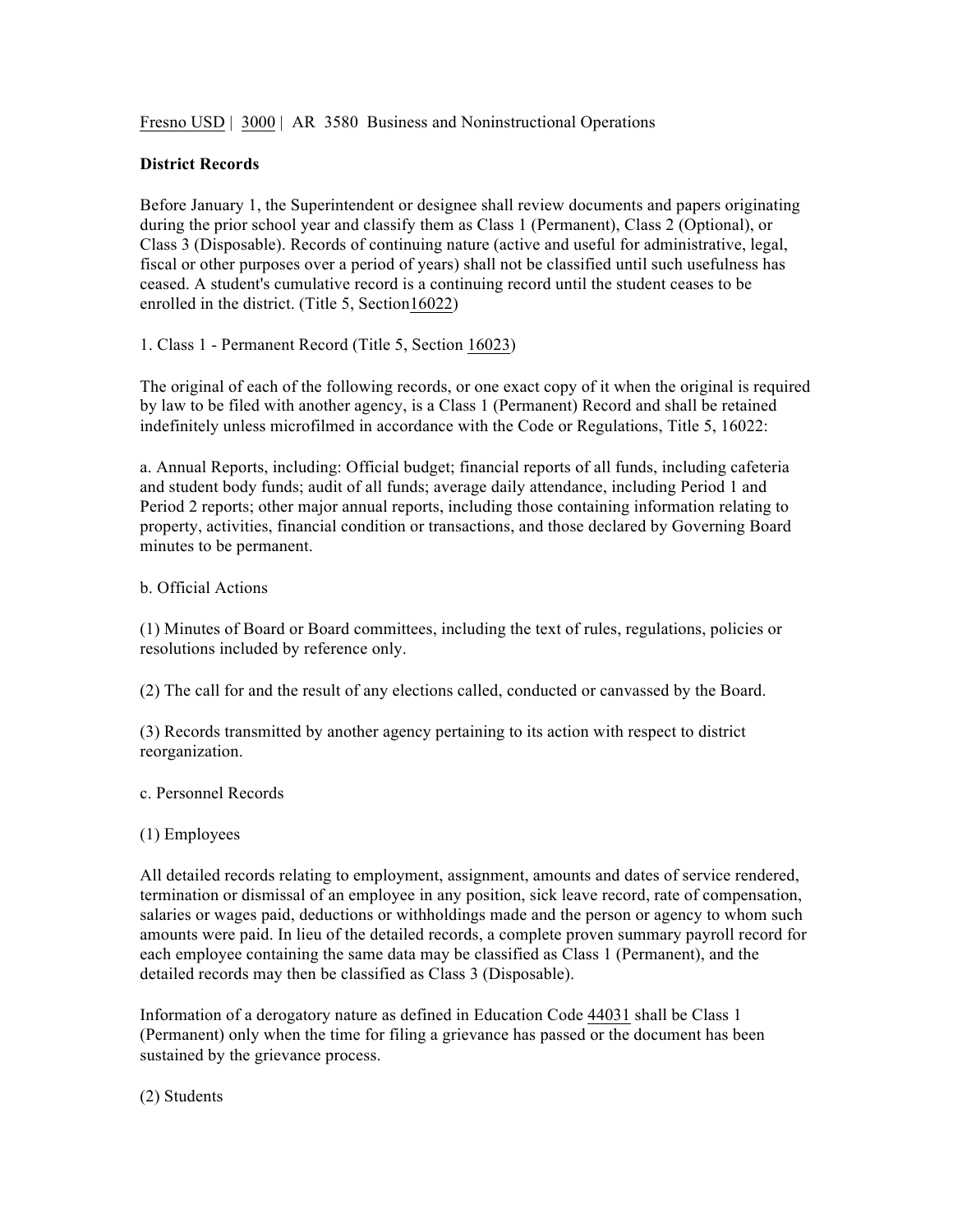Fresno USD | 3000 | AR 3580 Business and Noninstructional Operations

### **District Records**

Before January 1, the Superintendent or designee shall review documents and papers originating during the prior school year and classify them as Class 1 (Permanent), Class 2 (Optional), or Class 3 (Disposable). Records of continuing nature (active and useful for administrative, legal, fiscal or other purposes over a period of years) shall not be classified until such usefulness has ceased. A student's cumulative record is a continuing record until the student ceases to be enrolled in the district. (Title 5, Section16022)

1. Class 1 - Permanent Record (Title 5, Section 16023)

The original of each of the following records, or one exact copy of it when the original is required by law to be filed with another agency, is a Class 1 (Permanent) Record and shall be retained indefinitely unless microfilmed in accordance with the Code or Regulations, Title 5, 16022:

a. Annual Reports, including: Official budget; financial reports of all funds, including cafeteria and student body funds; audit of all funds; average daily attendance, including Period 1 and Period 2 reports; other major annual reports, including those containing information relating to property, activities, financial condition or transactions, and those declared by Governing Board minutes to be permanent.

# b. Official Actions

(1) Minutes of Board or Board committees, including the text of rules, regulations, policies or resolutions included by reference only.

(2) The call for and the result of any elections called, conducted or canvassed by the Board.

(3) Records transmitted by another agency pertaining to its action with respect to district reorganization.

c. Personnel Records

### (1) Employees

All detailed records relating to employment, assignment, amounts and dates of service rendered, termination or dismissal of an employee in any position, sick leave record, rate of compensation, salaries or wages paid, deductions or withholdings made and the person or agency to whom such amounts were paid. In lieu of the detailed records, a complete proven summary payroll record for each employee containing the same data may be classified as Class 1 (Permanent), and the detailed records may then be classified as Class 3 (Disposable).

Information of a derogatory nature as defined in Education Code 44031 shall be Class 1 (Permanent) only when the time for filing a grievance has passed or the document has been sustained by the grievance process.

(2) Students